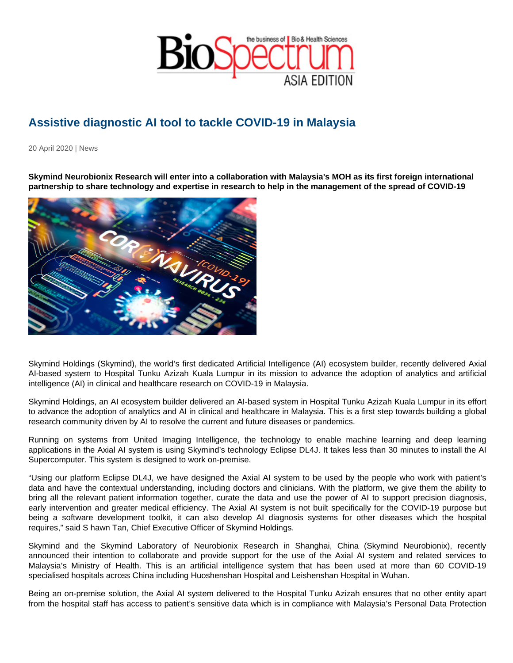## Assistive diagnostic AI tool to tackle COVID-19 in Malaysia

20 April 2020 | News

Skymind Neurobionix Research will enter into a collaboration with Malaysia's MOH as its first foreign international partnership to share technology and expertise in research to help in the management of the spread of COVID-19

Skymind Holdings (Skymind), the world's first dedicated Artificial Intelligence (AI) ecosystem builder, recently delivered Axial AI-based system to Hospital Tunku Azizah Kuala Lumpur in its mission to advance the adoption of analytics and artificial intelligence (AI) in clinical and healthcare research on COVID-19 in Malaysia.

Skymind Holdings, an AI ecosystem builder delivered an AI-based system in Hospital Tunku Azizah Kuala Lumpur in its effort to advance the adoption of analytics and AI in clinical and healthcare in Malaysia. This is a first step towards building a global research community driven by AI to resolve the current and future diseases or pandemics.

Running on systems from United Imaging Intelligence, the technology to enable machine learning and deep learning applications in the Axial AI system is using Skymind's technology Eclipse DL4J. It takes less than 30 minutes to install the AI Supercomputer. This system is designed to work on-premise.

"Using our platform Eclipse DL4J, we have designed the Axial AI system to be used by the people who work with patient's data and have the contextual understanding, including doctors and clinicians. With the platform, we give them the ability to bring all the relevant patient information together, curate the data and use the power of AI to support precision diagnosis, early intervention and greater medical efficiency. The Axial AI system is not built specifically for the COVID-19 purpose but being a software development toolkit, it can also develop AI diagnosis systems for other diseases which the hospital requires," said S hawn Tan, Chief Executive Officer of Skymind Holdings.

Skymind and the Skymind Laboratory of Neurobionix Research in Shanghai, China (Skymind Neurobionix), recently announced their intention to collaborate and provide support for the use of the Axial AI system and related services to Malaysia's Ministry of Health. This is an artificial intelligence system that has been used at more than 60 COVID-19 specialised hospitals across China including Huoshenshan Hospital and Leishenshan Hospital in Wuhan.

Being an on-premise solution, the Axial AI system delivered to the Hospital Tunku Azizah ensures that no other entity apart from the hospital staff has access to patient's sensitive data which is in compliance with Malaysia's Personal Data Protection